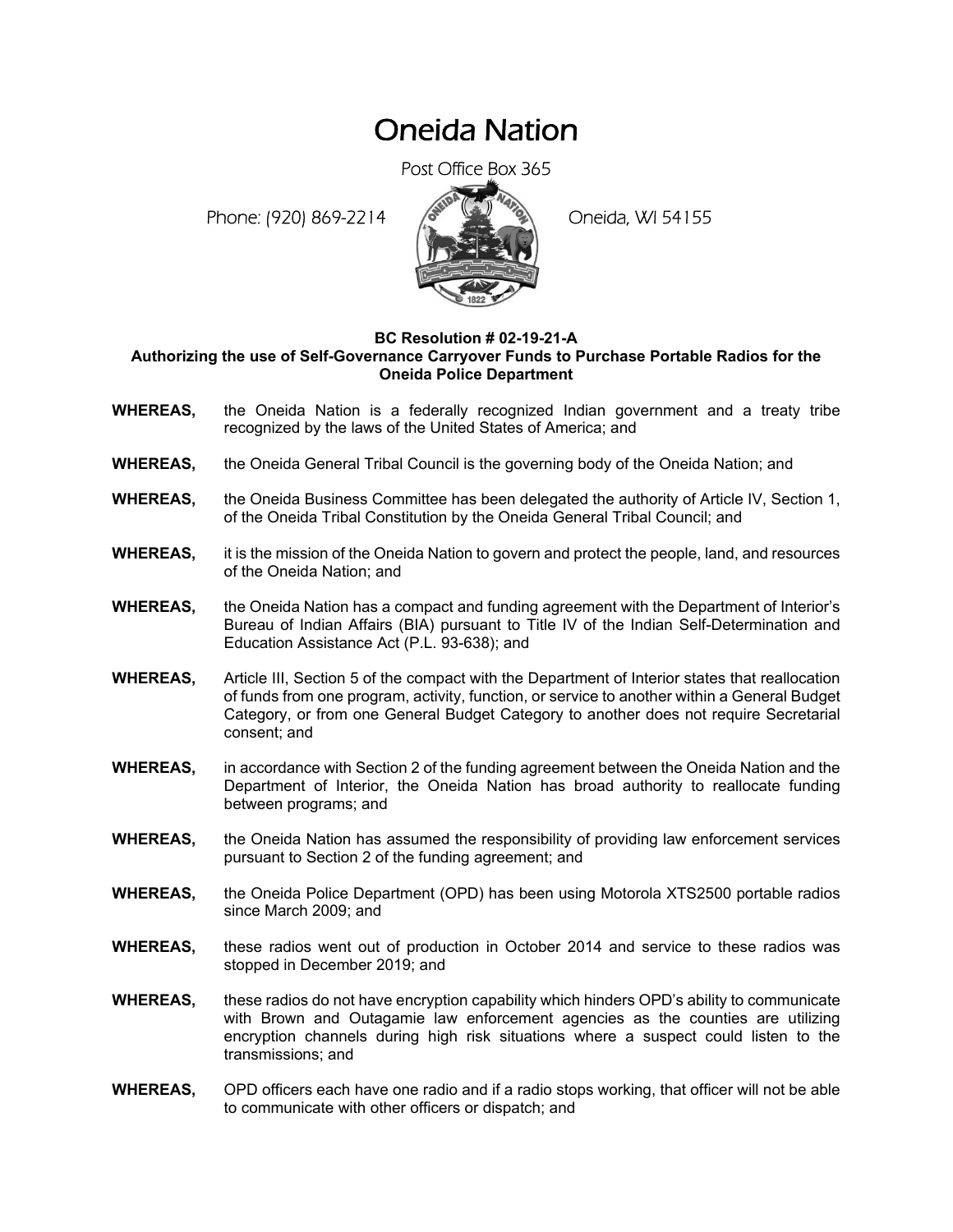## Oneida Nation

Post Office Box 365

Phone: (920) 869-2214 (8 April 194155)



## **BC Resolution # 02-19-21-A Authorizing the use of Self-Governance Carryover Funds to Purchase Portable Radios for the Oneida Police Department**

- **WHEREAS,** the Oneida Nation is a federally recognized Indian government and a treaty tribe recognized by the laws of the United States of America; and
- **WHEREAS,** the Oneida General Tribal Council is the governing body of the Oneida Nation; and
- **WHEREAS,** the Oneida Business Committee has been delegated the authority of Article IV, Section 1, of the Oneida Tribal Constitution by the Oneida General Tribal Council; and
- **WHEREAS,** it is the mission of the Oneida Nation to govern and protect the people, land, and resources of the Oneida Nation; and
- **WHEREAS,** the Oneida Nation has a compact and funding agreement with the Department of Interior's Bureau of Indian Affairs (BIA) pursuant to Title IV of the Indian Self-Determination and Education Assistance Act (P.L. 93-638); and
- **WHEREAS,** Article III, Section 5 of the compact with the Department of Interior states that reallocation of funds from one program, activity, function, or service to another within a General Budget Category, or from one General Budget Category to another does not require Secretarial consent; and
- **WHEREAS,** in accordance with Section 2 of the funding agreement between the Oneida Nation and the Department of Interior, the Oneida Nation has broad authority to reallocate funding between programs; and
- **WHEREAS,** the Oneida Nation has assumed the responsibility of providing law enforcement services pursuant to Section 2 of the funding agreement; and
- **WHEREAS,** the Oneida Police Department (OPD) has been using Motorola XTS2500 portable radios since March 2009; and
- **WHEREAS,** these radios went out of production in October 2014 and service to these radios was stopped in December 2019; and
- **WHEREAS,** these radios do not have encryption capability which hinders OPD's ability to communicate with Brown and Outagamie law enforcement agencies as the counties are utilizing encryption channels during high risk situations where a suspect could listen to the transmissions; and
- **WHEREAS,** OPD officers each have one radio and if a radio stops working, that officer will not be able to communicate with other officers or dispatch; and